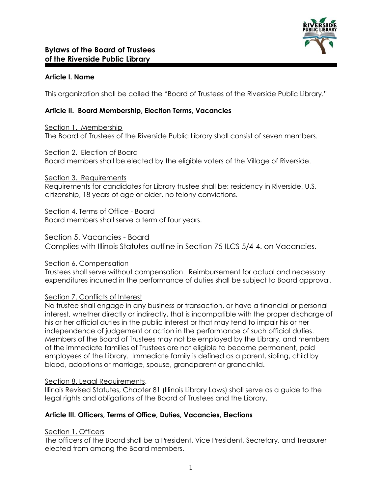

## **Article I. Name**

This organization shall be called the "Board of Trustees of the Riverside Public Library."

# **Article II. Board Membership, Election Terms, Vacancies**

Section 1. Membership The Board of Trustees of the Riverside Public Library shall consist of seven members.

Section 2. Election of Board Board members shall be elected by the eligible voters of the Village of Riverside.

#### Section 3. Requirements

Requirements for candidates for Library trustee shall be: residency in Riverside, U.S. citizenship, 18 years of age or older, no felony convictions.

Section 4. Terms of Office - Board

Board members shall serve a term of four years.

### Section 5. Vacancies - Board

Complies with Illinois Statutes outline in Section 75 ILCS 5/4-4. on Vacancies.

### Section 6. Compensation

Trustees shall serve without compensation. Reimbursement for actual and necessary expenditures incurred in the performance of duties shall be subject to Board approval.

### Section 7. Conflicts of Interest

No trustee shall engage in any business or transaction, or have a financial or personal interest, whether directly or indirectly, that is incompatible with the proper discharge of his or her official duties in the public interest or that may tend to impair his or her independence of judgement or action in the performance of such official duties. Members of the Board of Trustees may not be employed by the Library, and members of the immediate families of Trustees are not eligible to become permanent, paid employees of the Library. Immediate family is defined as a parent, sibling, child by blood, adoptions or marriage, spouse, grandparent or grandchild.

### Section 8. Legal Requirements.

Illinois Revised Statutes, Chapter 81 (Illinois Library Laws) shall serve as a guide to the legal rights and obligations of the Board of Trustees and the Library.

### **Article III. Officers, Terms of Office, Duties, Vacancies, Elections**

### Section 1. Officers

The officers of the Board shall be a President, Vice President, Secretary, and Treasurer elected from among the Board members.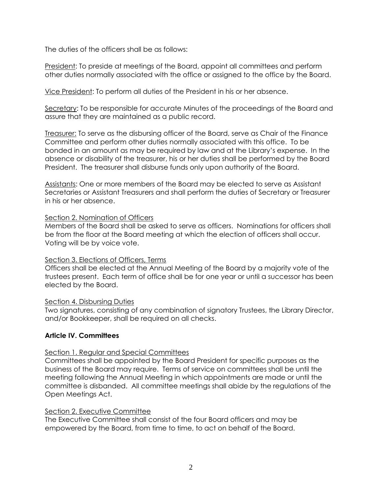The duties of the officers shall be as follows:

President: To preside at meetings of the Board, appoint all committees and perform other duties normally associated with the office or assigned to the office by the Board.

Vice President: To perform all duties of the President in his or her absence.

Secretary: To be responsible for accurate Minutes of the proceedings of the Board and assure that they are maintained as a public record.

Treasurer: To serve as the disbursing officer of the Board, serve as Chair of the Finance Committee and perform other duties normally associated with this office. To be bonded in an amount as may be required by law and at the Library's expense. In the absence or disability of the treasurer, his or her duties shall be performed by the Board President. The treasurer shall disburse funds only upon authority of the Board.

Assistants: One or more members of the Board may be elected to serve as Assistant Secretaries or Assistant Treasurers and shall perform the duties of Secretary or Treasurer in his or her absence.

### Section 2. Nomination of Officers

Members of the Board shall be asked to serve as officers. Nominations for officers shall be from the floor at the Board meeting at which the election of officers shall occur. Voting will be by voice vote.

### Section 3. Elections of Officers, Terms

Officers shall be elected at the Annual Meeting of the Board by a majority vote of the trustees present. Each term of office shall be for one year or until a successor has been elected by the Board.

### Section 4. Disbursing Duties

Two signatures, consisting of any combination of signatory Trustees, the Library Director, and/or Bookkeeper, shall be required on all checks.

### **Article IV. Committees**

### Section 1. Regular and Special Committees

Committees shall be appointed by the Board President for specific purposes as the business of the Board may require. Terms of service on committees shall be until the meeting following the Annual Meeting in which appointments are made or until the committee is disbanded. All committee meetings shall abide by the regulations of the Open Meetings Act.

### Section 2. Executive Committee

The Executive Committee shall consist of the four Board officers and may be empowered by the Board, from time to time, to act on behalf of the Board.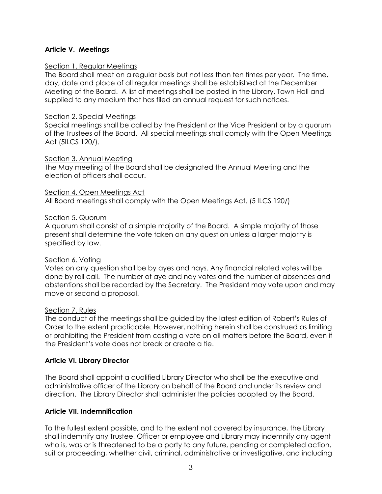# **Article V. Meetings**

#### Section 1. Regular Meetings

The Board shall meet on a regular basis but not less than ten times per year. The time, day, date and place of all regular meetings shall be established at the December Meeting of the Board. A list of meetings shall be posted in the Library, Town Hall and supplied to any medium that has filed an annual request for such notices.

#### Section 2. Special Meetings

Special meetings shall be called by the President or the Vice President or by a quorum of the Trustees of the Board. All special meetings shall comply with the Open Meetings Act (5ILCS 120/).

### Section 3. Annual Meeting

The May meeting of the Board shall be designated the Annual Meeting and the election of officers shall occur.

#### Section 4. Open Meetings Act

All Board meetings shall comply with the Open Meetings Act. (5 ILCS 120/)

#### Section 5. Quorum

A quorum shall consist of a simple majority of the Board. A simple majority of those present shall determine the vote taken on any question unless a larger majority is specified by law.

### Section 6. Voting

Votes on any question shall be by ayes and nays. Any financial related votes will be done by roll call. The number of aye and nay votes and the number of absences and abstentions shall be recorded by the Secretary. The President may vote upon and may move or second a proposal.

### Section 7. Rules

The conduct of the meetings shall be guided by the latest edition of Robert's Rules of Order to the extent practicable. However, nothing herein shall be construed as limiting or prohibiting the President from casting a vote on all matters before the Board, even if the President's vote does not break or create a tie.

### **Article VI. Library Director**

The Board shall appoint a qualified Library Director who shall be the executive and administrative officer of the Library on behalf of the Board and under its review and direction. The Library Director shall administer the policies adopted by the Board.

### **Article VII. Indemnification**

To the fullest extent possible, and to the extent not covered by insurance, the Library shall indemnify any Trustee, Officer or employee and Library may indemnify any agent who is, was or is threatened to be a party to any future, pending or completed action, suit or proceeding, whether civil, criminal, administrative or investigative, and including